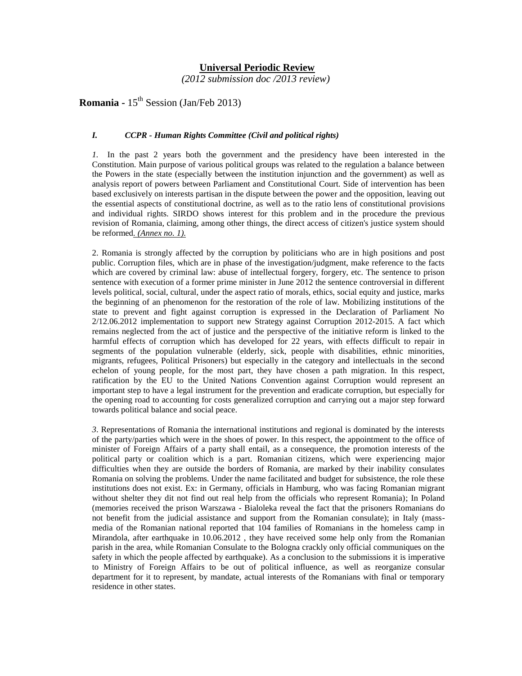# **Universal Periodic Review**

 *(2012 submission doc /2013 review)*

**Romania -** 15th Session (Jan/Feb 2013)

### *I. CCPR - Human Rights Committee (Civil and political rights)*

*1.* In the past 2 years both the government and the presidency have been interested in the Constitution. Main purpose of various political groups was related to the regulation a balance between the Powers in the state (especially between the institution injunction and the government) as well as analysis report of powers between Parliament and Constitutional Court. Side of intervention has been based exclusively on interests partisan in the dispute between the power and the opposition, leaving out the essential aspects of constitutional doctrine, as well as to the ratio lens of constitutional provisions and individual rights. SIRDO shows interest for this problem and in the procedure the previous revision of Romania, claiming, among other things, the direct access of citizen's justice system should be reformed*. (Annex no. 1).*

2. Romania is strongly affected by the corruption by politicians who are in high positions and post public. Corruption files, which are in phase of the investigation/judgment, make reference to the facts which are covered by criminal law: abuse of intellectual forgery, forgery, etc. The sentence to prison sentence with execution of a former prime minister in June 2012 the sentence controversial in different levels political, social, cultural, under the aspect ratio of morals, ethics, social equity and justice, marks the beginning of an phenomenon for the restoration of the role of law. Mobilizing institutions of the state to prevent and fight against corruption is expressed in the Declaration of Parliament No 2/12.06.2012 implementation to support new Strategy against Corruption 2012-2015. A fact which remains neglected from the act of justice and the perspective of the initiative reform is linked to the harmful effects of corruption which has developed for 22 years, with effects difficult to repair in segments of the population vulnerable (elderly, sick, people with disabilities, ethnic minorities, migrants, refugees, Political Prisoners) but especially in the category and intellectuals in the second echelon of young people, for the most part, they have chosen a path migration. In this respect, ratification by the EU to the United Nations Convention against Corruption would represent an important step to have a legal instrument for the prevention and eradicate corruption, but especially for the opening road to accounting for costs generalized corruption and carrying out a major step forward towards political balance and social peace.

*3*. Representations of Romania the international institutions and regional is dominated by the interests of the party/parties which were in the shoes of power. In this respect, the appointment to the office of minister of Foreign Affairs of a party shall entail, as a consequence, the promotion interests of the political party or coalition which is a part. Romanian citizens, which were experiencing major difficulties when they are outside the borders of Romania, are marked by their inability consulates Romania on solving the problems. Under the name facilitated and budget for subsistence, the role these institutions does not exist. Ex: in Germany, officials in Hamburg, who was facing Romanian migrant without shelter they dit not find out real help from the officials who represent Romania); In Poland (memories received the prison Warszawa - Bialoleka reveal the fact that the prisoners Romanians do not benefit from the judicial assistance and support from the Romanian consulate); in Italy (massmedia of the Romanian national reported that 104 families of Romanians in the homeless camp in Mirandola, after earthquake in 10.06.2012 , they have received some help only from the Romanian parish in the area, while Romanian Consulate to the Bologna crackly only official communiques on the safety in which the people affected by earthquake). As a conclusion to the submissions it is imperative to Ministry of Foreign Affairs to be out of political influence, as well as reorganize consular department for it to represent, by mandate, actual interests of the Romanians with final or temporary residence in other states.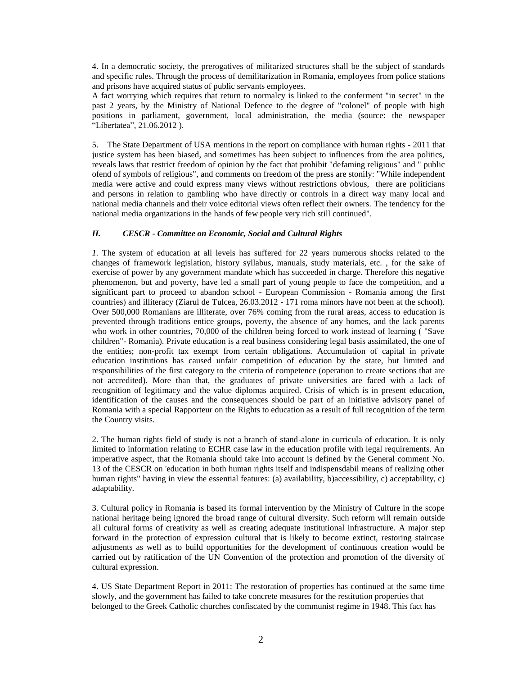4. In a democratic society, the prerogatives of militarized structures shall be the subject of standards and specific rules. Through the process of demilitarization in Romania, employees from police stations and prisons have acquired status of public servants employees.

A fact worrying which requires that return to normalcy is linked to the conferment "in secret" in the past 2 years, by the Ministry of National Defence to the degree of "colonel" of people with high positions in parliament, government, local administration, the media (source: the newspaper "Libertatea", 21.06.2012 ).

5. The State Department of USA mentions in the report on compliance with human rights - 2011 that justice system has been biased, and sometimes has been subject to influences from the area politics, reveals laws that restrict freedom of opinion by the fact that prohibit "defaming religious" and " public ofend of symbols of religious", and comments on freedom of the press are stonily: "While independent media were active and could express many views without restrictions obvious, there are politicians and persons in relation to gambling who have directly or controls in a direct way many local and national media channels and their voice editorial views often reflect their owners. The tendency for the national media organizations in the hands of few people very rich still continued".

## *II. CESCR - Committee on Economic, Social and Cultural Rights*

*1.* The system of education at all levels has suffered for 22 years numerous shocks related to the changes of framework legislation, history syllabus, manuals, study materials, etc. , for the sake of exercise of power by any government mandate which has succeeded in charge. Therefore this negative phenomenon, but and poverty, have led a small part of young people to face the competition, and a significant part to proceed to abandon school - European Commission - Romania among the first countries) and illiteracy (Ziarul de Tulcea, 26.03.2012 - 171 roma minors have not been at the school). Over 500,000 Romanians are illiterate, over 76% coming from the rural areas, access to education is prevented through traditions entice groups, poverty, the absence of any homes, and the lack parents who work in other countries, 70,000 of the children being forced to work instead of learning ( "Save children"- Romania). Private education is a real business considering legal basis assimilated, the one of the entities; non-profit tax exempt from certain obligations. Accumulation of capital in private education institutions has caused unfair competition of education by the state, but limited and responsibilities of the first category to the criteria of competence (operation to create sections that are not accredited). More than that, the graduates of private universities are faced with a lack of recognition of legitimacy and the value diplomas acquired. Crisis of which is in present education, identification of the causes and the consequences should be part of an initiative advisory panel of Romania with a special Rapporteur on the Rights to education as a result of full recognition of the term the Country visits.

2. The human rights field of study is not a branch of stand-alone in curricula of education. It is only limited to information relating to ECHR case law in the education profile with legal requirements. An imperative aspect, that the Romania should take into account is defined by the General comment No. 13 of the CESCR on 'education in both human rights itself and indispensdabil means of realizing other human rights" having in view the essential features: (a) availability, b) accessibility, c) acceptability, c) adaptability.

3. Cultural policy in Romania is based its formal intervention by the Ministry of Culture in the scope national heritage being ignored the broad range of cultural diversity. Such reform will remain outside all cultural forms of creativity as well as creating adequate institutional infrastructure. A major step forward in the protection of expression cultural that is likely to become extinct, restoring staircase adjustments as well as to build opportunities for the development of continuous creation would be carried out by ratification of the UN Convention of the protection and promotion of the diversity of cultural expression.

4. US State Department Report in 2011: The restoration of properties has continued at the same time slowly, and the government has failed to take concrete measures for the restitution properties that belonged to the Greek Catholic churches confiscated by the communist regime in 1948. This fact has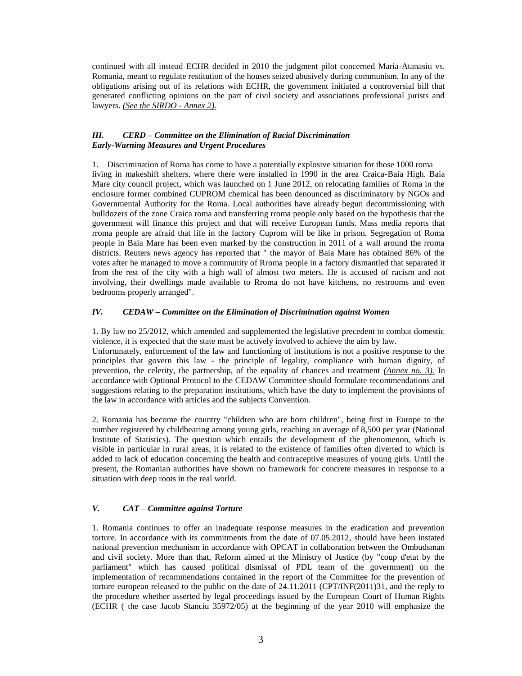continued with all instead ECHR decided in 2010 the judgment pilot concerned Maria-Atanasiu vs. Romania, meant to regulate restitution of the houses seized abusively during communism. In any of the obligations arising out of its relations with ECHR, the government initiated a controversial bill that generated conflicting opinions on the part of civil society and associations professional jurists and lawyers. *(See the SIRDO - Annex 2).*

### *III. CERD – Committee on the Elimination of Racial Discrimination Early-Warning Measures and Urgent Procedures*

1. Discrimination of Roma has come to have a potentially explosive situation for those 1000 roma living in makeshift shelters, where there were installed in 1990 in the area Craica-Baia High. Baia Mare city council project, which was launched on 1 June 2012, on relocating families of Roma in the enclosure former combined CUPROM chemical has been denounced as discriminatory by NGOs and Governmental Authority for the Roma. Local authorities have already begun decommissioning with bulldozers of the zone Craica roma and transferring rroma people only based on the hypothesis that the government will finance this project and that will receive European funds. Mass media reports that rroma people are afraid that life in the factory Cuprom will be like in prison. Segregation of Roma people in Baia Mare has been even marked by the construction in 2011 of a wall around the rroma districts. Reuters news agency has reported that " the mayor of Baia Mare has obtained 86% of the votes after he managed to move a community of Rroma people in a factory dismantled that separated it from the rest of the city with a high wall of almost two meters. He is accused of racism and not involving, their dwellings made available to Rroma do not have kitchens, no restrooms and even bedrooms properly arranged".

# *IV. CEDAW – Committee on the Elimination of Discrimination against Women*

1. By law no 25/2012, which amended and supplemented the legislative precedent to combat domestic violence, it is expected that the state must be actively involved to achieve the aim by law.

Unfortunately, enforcement of the law and functioning of institutions is not a positive response to the principles that govern this law - the principle of legality, compliance with human dignity, of prevention, the celerity, the partnership, of the equality of chances and treatment *(Annex no. 3).* In accordance with Optional Protocol to the CEDAW Committee should formulate recommendations and suggestions relating to the preparation institutions, which have the duty to implement the provisions of the law in accordance with articles and the subjects Convention.

2. Romania has become the country "children who are born children", being first in Europe to the number registered by childbearing among young girls, reaching an average of 8,500 per year (National Institute of Statistics). The question which entails the development of the phenomenon, which is visible in particular in rural areas, it is related to the existence of families often diverted to which is added to lack of education concerning the health and contraceptive measures of young girls. Until the present, the Romanian authorities have shown no framework for concrete measures in response to a situation with deep roots in the real world.

# *V. CAT – Committee against Torture*

1. Romania continues to offer an inadequate response measures in the eradication and prevention torture. In accordance with its commitments from the date of 07.05.2012, should have been instated national prevention mechanism in accordance with OPCAT in collaboration between the Ombudsman and civil society. More than that, Reform aimed at the Ministry of Justice (by "coup d'etat by the parliament" which has caused political dismissal of PDL team of the government) on the implementation of recommendations contained in the report of the Committee for the prevention of torture european released to the public on the date of 24.11.2011 (CPT/INF(2011)31, and the reply to the procedure whether asserted by legal proceedings issued by the European Court of Human Rights (ECHR ( the case Jacob Stanciu 35972/05) at the beginning of the year 2010 will emphasize the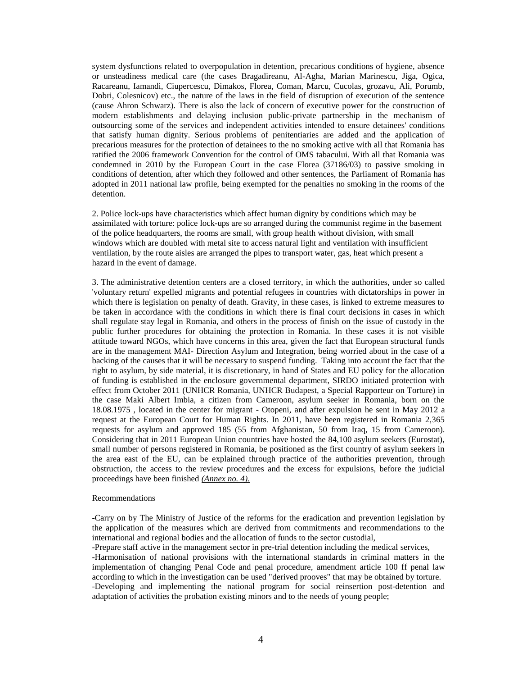system dysfunctions related to overpopulation in detention, precarious conditions of hygiene, absence or unsteadiness medical care (the cases Bragadireanu, Al-Agha, Marian Marinescu, Jiga, Ogica, Racareanu, Iamandi, Ciupercescu, Dimakos, Florea, Coman, Marcu, Cucolas, grozavu, Ali, Porumb, Dobri, Colesnicov) etc., the nature of the laws in the field of disruption of execution of the sentence (cause Ahron Schwarz). There is also the lack of concern of executive power for the construction of modern establishments and delaying inclusion public-private partnership in the mechanism of outsourcing some of the services and independent activities intended to ensure detainees' conditions that satisfy human dignity. Serious problems of penitentiaries are added and the application of precarious measures for the protection of detainees to the no smoking active with all that Romania has ratified the 2006 framework Convention for the control of OMS tabacului. With all that Romania was condemned in 2010 by the European Court in the case Florea (37186/03) to passive smoking in conditions of detention, after which they followed and other sentences, the Parliament of Romania has adopted in 2011 national law profile, being exempted for the penalties no smoking in the rooms of the detention.

2. Police lock-ups have characteristics which affect human dignity by conditions which may be assimilated with torture: police lock-ups are so arranged during the communist regime in the basement of the police headquarters, the rooms are small, with group health without division, with small windows which are doubled with metal site to access natural light and ventilation with insufficient ventilation, by the route aisles are arranged the pipes to transport water, gas, heat which present a hazard in the event of damage.

3. The administrative detention centers are a closed territory, in which the authorities, under so called 'voluntary return' expelled migrants and potential refugees in countries with dictatorships in power in which there is legislation on penalty of death. Gravity, in these cases, is linked to extreme measures to be taken in accordance with the conditions in which there is final court decisions in cases in which shall regulate stay legal in Romania, and others in the process of finish on the issue of custody in the public further procedures for obtaining the protection in Romania. In these cases it is not visible attitude toward NGOs, which have concerns in this area, given the fact that European structural funds are in the management MAI- Direction Asylum and Integration, being worried about in the case of a backing of the causes that it will be necessary to suspend funding. Taking into account the fact that the right to asylum, by side material, it is discretionary, in hand of States and EU policy for the allocation of funding is established in the enclosure governmental department, SIRDO initiated protection with effect from October 2011 (UNHCR Romania, UNHCR Budapest, a Special Rapporteur on Torture) in the case Maki Albert Imbia, a citizen from Cameroon, asylum seeker in Romania, born on the 18.08.1975 , located in the center for migrant - Otopeni, and after expulsion he sent in May 2012 a request at the European Court for Human Rights. In 2011, have been registered in Romania 2,365 requests for asylum and approved 185 (55 from Afghanistan, 50 from Iraq, 15 from Cameroon). Considering that in 2011 European Union countries have hosted the 84,100 asylum seekers (Eurostat), small number of persons registered in Romania, be positioned as the first country of asylum seekers in the area east of the EU, can be explained through practice of the authorities prevention, through obstruction, the access to the review procedures and the excess for expulsions, before the judicial proceedings have been finished *(Annex no. 4).*

#### Recommendations

-Carry on by The Ministry of Justice of the reforms for the eradication and prevention legislation by the application of the measures which are derived from commitments and recommendations to the international and regional bodies and the allocation of funds to the sector custodial,

-Prepare staff active in the management sector in pre-trial detention including the medical services, -Harmonisation of national provisions with the international standards in criminal matters in the implementation of changing Penal Code and penal procedure, amendment article 100 ff penal law according to which in the investigation can be used "derived prooves" that may be obtained by torture. -Developing and implementing the national program for social reinsertion post-detention and adaptation of activities the probation existing minors and to the needs of young people;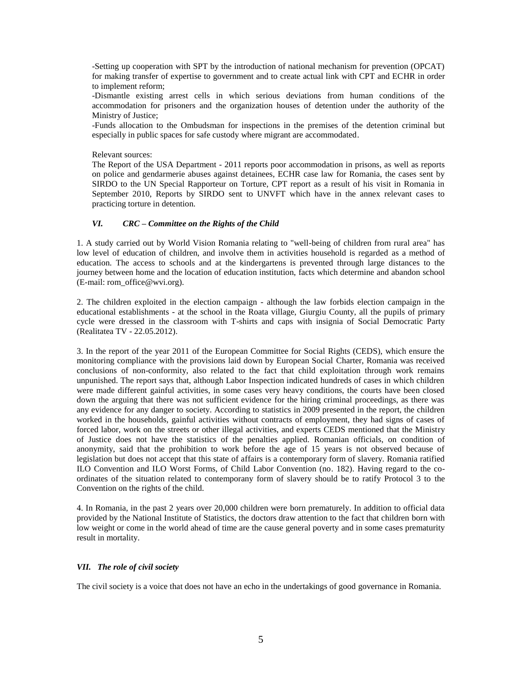-Setting up cooperation with SPT by the introduction of national mechanism for prevention (OPCAT) for making transfer of expertise to government and to create actual link with CPT and ECHR in order to implement reform;

-Dismantle existing arrest cells in which serious deviations from human conditions of the accommodation for prisoners and the organization houses of detention under the authority of the Ministry of Justice;

-Funds allocation to the Ombudsman for inspections in the premises of the detention criminal but especially in public spaces for safe custody where migrant are accommodated.

Relevant sources:

The Report of the USA Department - 2011 reports poor accommodation in prisons, as well as reports on police and gendarmerie abuses against detainees, ECHR case law for Romania, the cases sent by SIRDO to the UN Special Rapporteur on Torture, CPT report as a result of his visit in Romania in September 2010, Reports by SIRDO sent to UNVFT which have in the annex relevant cases to practicing torture in detention.

#### *VI. CRC – Committee on the Rights of the Child*

1. A study carried out by World Vision Romania relating to "well-being of children from rural area" has low level of education of children, and involve them in activities household is regarded as a method of education. The access to schools and at the kindergartens is prevented through large distances to the journey between home and the location of education institution, facts which determine and abandon school (E-mail: rom\_office@wvi.org).

2. The children exploited in the election campaign - although the law forbids election campaign in the educational establishments - at the school in the Roata village, Giurgiu County, all the pupils of primary cycle were dressed in the classroom with T-shirts and caps with insignia of Social Democratic Party (Realitatea TV - 22.05.2012).

3. In the report of the year 2011 of the European Committee for Social Rights (CEDS), which ensure the monitoring compliance with the provisions laid down by European Social Charter, Romania was received conclusions of non-conformity, also related to the fact that child exploitation through work remains unpunished. The report says that, although Labor Inspection indicated hundreds of cases in which children were made different gainful activities, in some cases very heavy conditions, the courts have been closed down the arguing that there was not sufficient evidence for the hiring criminal proceedings, as there was any evidence for any danger to society. According to statistics in 2009 presented in the report, the children worked in the households, gainful activities without contracts of employment, they had signs of cases of forced labor, work on the streets or other illegal activities, and experts CEDS mentioned that the Ministry of Justice does not have the statistics of the penalties applied. Romanian officials, on condition of anonymity, said that the prohibition to work before the age of 15 years is not observed because of legislation but does not accept that this state of affairs is a contemporary form of slavery. Romania ratified ILO Convention and ILO Worst Forms, of Child Labor Convention (no. 182). Having regard to the coordinates of the situation related to contemporany form of slavery should be to ratify Protocol 3 to the Convention on the rights of the child.

4. In Romania, in the past 2 years over 20,000 children were born prematurely. In addition to official data provided by the National Institute of Statistics, the doctors draw attention to the fact that children born with low weight or come in the world ahead of time are the cause general poverty and in some cases prematurity result in mortality.

#### *VII. The role of civil society*

The civil society is a voice that does not have an echo in the undertakings of good governance in Romania.